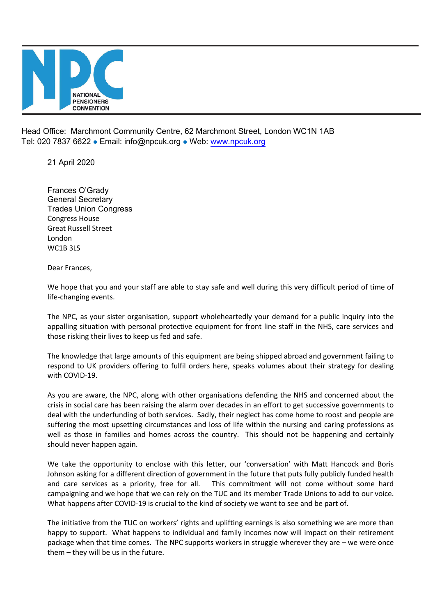

Head Office: Marchmont Community Centre, 62 Marchmont Street, London WC1N 1AB Tel: 020 7837 6622 · Email: info@npcuk.org · Web: www.npcuk.org

21 April 2020

Frances O'Grady General Secretary Trades Union Congress Congress House Great Russell Street London WC1B 3LS

Dear Frances,

We hope that you and your staff are able to stay safe and well during this very difficult period of time of life-changing events.

The NPC, as your sister organisation, support wholeheartedly your demand for a public inquiry into the appalling situation with personal protective equipment for front line staff in the NHS, care services and those risking their lives to keep us fed and safe.

The knowledge that large amounts of this equipment are being shipped abroad and government failing to respond to UK providers offering to fulfil orders here, speaks volumes about their strategy for dealing with COVID-19.

As you are aware, the NPC, along with other organisations defending the NHS and concerned about the crisis in social care has been raising the alarm over decades in an effort to get successive governments to deal with the underfunding of both services. Sadly, their neglect has come home to roost and people are suffering the most upsetting circumstances and loss of life within the nursing and caring professions as well as those in families and homes across the country. This should not be happening and certainly should never happen again.

We take the opportunity to enclose with this letter, our 'conversation' with Matt Hancock and Boris Johnson asking for a different direction of government in the future that puts fully publicly funded health and care services as a priority, free for all. This commitment will not come without some hard campaigning and we hope that we can rely on the TUC and its member Trade Unions to add to our voice. What happens after COVID-19 is crucial to the kind of society we want to see and be part of.

The initiative from the TUC on workers' rights and uplifting earnings is also something we are more than happy to support. What happens to individual and family incomes now will impact on their retirement package when that time comes. The NPC supports workers in struggle wherever they are – we were once them – they will be us in the future.